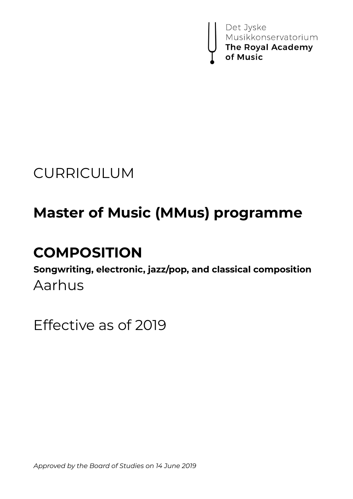

# CURRICULUM

# **Master of Music (MMus) programme**

# **COMPOSITION**

**Songwriting, electronic, jazz/pop, and classical composition** Aarhus

Effective as of 2019

*Approved by the Board of Studies on 14 June 2019*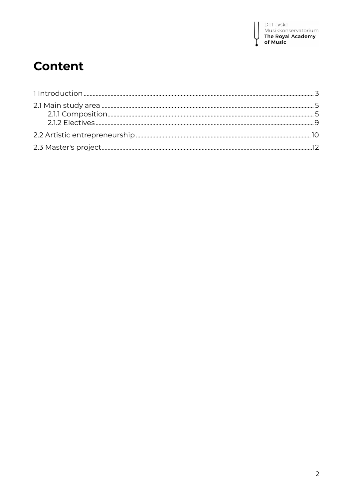

### **Content**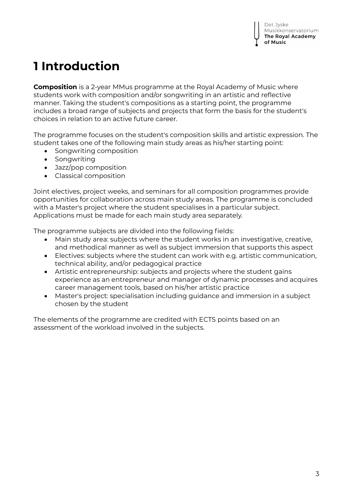## **1 Introduction**

**Composition** is a 2-year MMus programme at the Royal Academy of Music where students work with composition and/or songwriting in an artistic and reflective manner. Taking the student's compositions as a starting point, the programme includes a broad range of subjects and projects that form the basis for the student's choices in relation to an active future career.

The programme focuses on the student's composition skills and artistic expression. The student takes one of the following main study areas as his/her starting point:

- Songwriting composition
- Songwriting
- Jazz/pop composition
- Classical composition

Joint electives, project weeks, and seminars for all composition programmes provide opportunities for collaboration across main study areas. The programme is concluded with a Master's project where the student specialises in a particular subject. Applications must be made for each main study area separately.

The programme subjects are divided into the following fields:

- Main study area: subjects where the student works in an investigative, creative, and methodical manner as well as subject immersion that supports this aspect
- Electives: subjects where the student can work with e.g. artistic communication, technical ability, and/or pedagogical practice
- Artistic entrepreneurship: subjects and projects where the student gains experience as an entrepreneur and manager of dynamic processes and acquires career management tools, based on his/her artistic practice
- Master's project: specialisation including guidance and immersion in a subject chosen by the student

The elements of the programme are credited with ECTS points based on an assessment of the workload involved in the subjects.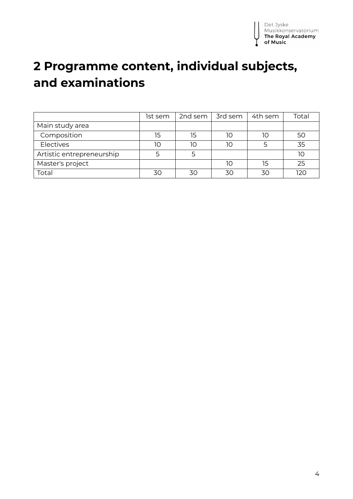

### **2 Programme content, individual subjects, and examinations**

|                           | Ist sem | 2nd sem | 3rd sem | 4th sem | Total |
|---------------------------|---------|---------|---------|---------|-------|
| Main study area           |         |         |         |         |       |
| Composition               | 15      | 15      | 10      | 1C      | 50    |
| Electives                 | 10      | 10      | חו      |         | 35    |
| Artistic entrepreneurship |         |         |         |         | 10    |
| Master's project          |         |         | 10      | 15      | 25    |
| Total                     | 30      | 30      |         | 30      | 12C   |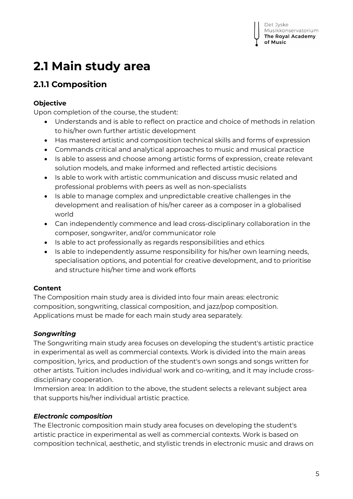## **2.1 Main study area**

### **2.1.1 Composition**

### **Objective**

Upon completion of the course, the student:

- Understands and is able to reflect on practice and choice of methods in relation to his/her own further artistic development
- Has mastered artistic and composition technical skills and forms of expression
- Commands critical and analytical approaches to music and musical practice
- Is able to assess and choose among artistic forms of expression, create relevant solution models, and make informed and reflected artistic decisions
- Is able to work with artistic communication and discuss music related and professional problems with peers as well as non-specialists
- Is able to manage complex and unpredictable creative challenges in the development and realisation of his/her career as a composer in a globalised world
- Can independently commence and lead cross-disciplinary collaboration in the composer, songwriter, and/or communicator role
- Is able to act professionally as regards responsibilities and ethics
- Is able to independently assume responsibility for his/her own learning needs, specialisation options, and potential for creative development, and to prioritise and structure his/her time and work efforts

### **Content**

The Composition main study area is divided into four main areas: electronic composition, songwriting, classical composition, and jazz/pop composition. Applications must be made for each main study area separately.

### *Songwriting*

The Songwriting main study area focuses on developing the student's artistic practice in experimental as well as commercial contexts. Work is divided into the main areas composition, lyrics, and production of the student's own songs and songs written for other artists. Tuition includes individual work and co-writing, and it may include crossdisciplinary cooperation.

Immersion area: In addition to the above, the student selects a relevant subject area that supports his/her individual artistic practice.

### *Electronic composition*

The Electronic composition main study area focuses on developing the student's artistic practice in experimental as well as commercial contexts. Work is based on composition technical, aesthetic, and stylistic trends in electronic music and draws on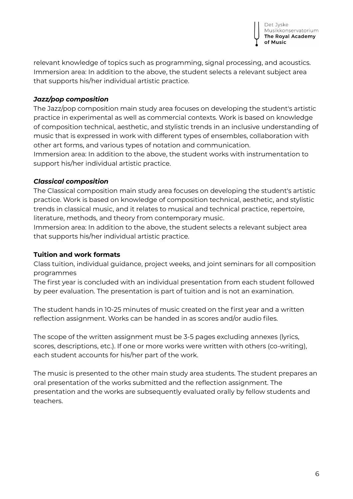

relevant knowledge of topics such as programming, signal processing, and acoustics. Immersion area: In addition to the above, the student selects a relevant subject area that supports his/her individual artistic practice.

### *Jazz/pop composition*

The Jazz/pop composition main study area focuses on developing the student's artistic practice in experimental as well as commercial contexts. Work is based on knowledge of composition technical, aesthetic, and stylistic trends in an inclusive understanding of music that is expressed in work with different types of ensembles, collaboration with other art forms, and various types of notation and communication.

Immersion area: In addition to the above, the student works with instrumentation to support his/her individual artistic practice.

### *Classical composition*

The Classical composition main study area focuses on developing the student's artistic practice. Work is based on knowledge of composition technical, aesthetic, and stylistic trends in classical music, and it relates to musical and technical practice, repertoire, literature, methods, and theory from contemporary music.

Immersion area: In addition to the above, the student selects a relevant subject area that supports his/her individual artistic practice.

### **Tuition and work formats**

Class tuition, individual guidance, project weeks, and joint seminars for all composition programmes

The first year is concluded with an individual presentation from each student followed by peer evaluation. The presentation is part of tuition and is not an examination.

The student hands in 10-25 minutes of music created on the first year and a written reflection assignment. Works can be handed in as scores and/or audio files.

The scope of the written assignment must be 3-5 pages excluding annexes (lyrics, scores, descriptions, etc.). If one or more works were written with others (co-writing), each student accounts for his/her part of the work.

The music is presented to the other main study area students. The student prepares an oral presentation of the works submitted and the reflection assignment. The presentation and the works are subsequently evaluated orally by fellow students and teachers.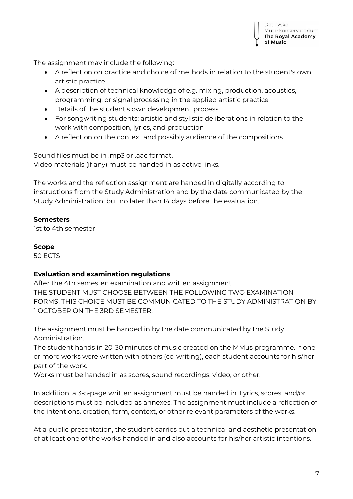

The assignment may include the following:

- A reflection on practice and choice of methods in relation to the student's own artistic practice
- A description of technical knowledge of e.g. mixing, production, acoustics, programming, or signal processing in the applied artistic practice
- Details of the student's own development process
- For songwriting students: artistic and stylistic deliberations in relation to the work with composition, lyrics, and production
- A reflection on the context and possibly audience of the compositions

Sound files must be in .mp3 or .aac format. Video materials (if any) must be handed in as active links.

The works and the reflection assignment are handed in digitally according to instructions from the Study Administration and by the date communicated by the Study Administration, but no later than 14 days before the evaluation.

**Semesters**

1st to 4th semester

**Scope**

50 ECTS

### **Evaluation and examination regulations**

After the 4th semester: examination and written assignment THE STUDENT MUST CHOOSE BETWEEN THE FOLLOWING TWO EXAMINATION FORMS. THIS CHOICE MUST BE COMMUNICATED TO THE STUDY ADMINISTRATION BY 1 OCTOBER ON THE 3RD SEMESTER.

The assignment must be handed in by the date communicated by the Study Administration.

The student hands in 20-30 minutes of music created on the MMus programme. If one or more works were written with others (co-writing), each student accounts for his/her part of the work.

Works must be handed in as scores, sound recordings, video, or other.

In addition, a 3-5-page written assignment must be handed in. Lyrics, scores, and/or descriptions must be included as annexes. The assignment must include a reflection of the intentions, creation, form, context, or other relevant parameters of the works.

At a public presentation, the student carries out a technical and aesthetic presentation of at least one of the works handed in and also accounts for his/her artistic intentions.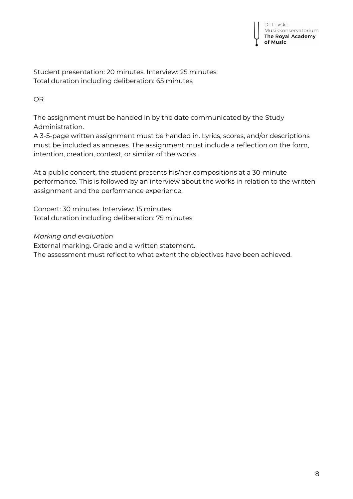Student presentation: 20 minutes. Interview: 25 minutes. Total duration including deliberation: 65 minutes

OR

The assignment must be handed in by the date communicated by the Study Administration.

A 3-5-page written assignment must be handed in. Lyrics, scores, and/or descriptions must be included as annexes. The assignment must include a reflection on the form, intention, creation, context, or similar of the works.

At a public concert, the student presents his/her compositions at a 30-minute performance. This is followed by an interview about the works in relation to the written assignment and the performance experience.

Concert: 30 minutes. Interview: 15 minutes Total duration including deliberation: 75 minutes

*Marking and evaluation*

External marking. Grade and a written statement. The assessment must reflect to what extent the objectives have been achieved.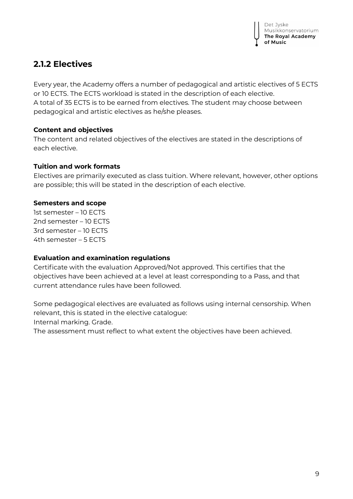### **2.1.2 Electives**

Every year, the Academy offers a number of pedagogical and artistic electives of 5 ECTS or 10 ECTS. The ECTS workload is stated in the description of each elective. A total of 35 ECTS is to be earned from electives. The student may choose between pedagogical and artistic electives as he/she pleases.

### **Content and objectives**

The content and related objectives of the electives are stated in the descriptions of each elective.

### **Tuition and work formats**

Electives are primarily executed as class tuition. Where relevant, however, other options are possible; this will be stated in the description of each elective.

### **Semesters and scope**

1st semester – 10 ECTS 2nd semester – 10 ECTS 3rd semester – 10 ECTS 4th semester – 5 ECTS

### **Evaluation and examination regulations**

Certificate with the evaluation Approved/Not approved. This certifies that the objectives have been achieved at a level at least corresponding to a Pass, and that current attendance rules have been followed.

Some pedagogical electives are evaluated as follows using internal censorship. When relevant, this is stated in the elective catalogue:

Internal marking. Grade.

The assessment must reflect to what extent the objectives have been achieved.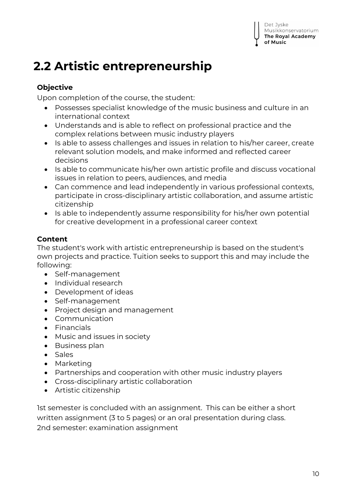## **2.2 Artistic entrepreneurship**

### **Objective**

Upon completion of the course, the student:

- Possesses specialist knowledge of the music business and culture in an international context
- Understands and is able to reflect on professional practice and the complex relations between music industry players
- Is able to assess challenges and issues in relation to his/her career, create relevant solution models, and make informed and reflected career decisions
- Is able to communicate his/her own artistic profile and discuss vocational issues in relation to peers, audiences, and media
- Can commence and lead independently in various professional contexts, participate in cross-disciplinary artistic collaboration, and assume artistic citizenship
- Is able to independently assume responsibility for his/her own potential for creative development in a professional career context

### **Content**

The student's work with artistic entrepreneurship is based on the student's own projects and practice. Tuition seeks to support this and may include the following:

- Self-management
- Individual research
- Development of ideas
- Self-management
- Project design and management
- Communication
- Financials
- Music and issues in society
- Business plan
- Sales
- Marketing
- Partnerships and cooperation with other music industry players
- Cross-disciplinary artistic collaboration
- Artistic citizenship

1st semester is concluded with an assignment. This can be either a short written assignment (3 to 5 pages) or an oral presentation during class. 2nd semester: examination assignment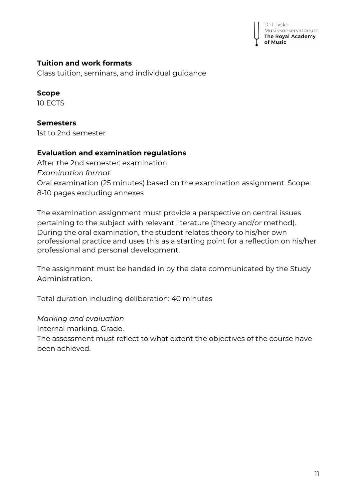Det Jyske Musikkonservatorium The Royal Academy of Music

### **Tuition and work formats**

Class tuition, seminars, and individual guidance

**Scope** 10 ECTS

**Semesters** 1st to 2nd semester

### **Evaluation and examination regulations**

After the 2nd semester: examination *Examination format* Oral examination (25 minutes) based on the examination assignment. Scope: 8-10 pages excluding annexes

The examination assignment must provide a perspective on central issues pertaining to the subject with relevant literature (theory and/or method). During the oral examination, the student relates theory to his/her own professional practice and uses this as a starting point for a reflection on his/her professional and personal development.

The assignment must be handed in by the date communicated by the Study Administration.

Total duration including deliberation: 40 minutes

*Marking and evaluation*

Internal marking. Grade.

The assessment must reflect to what extent the objectives of the course have been achieved.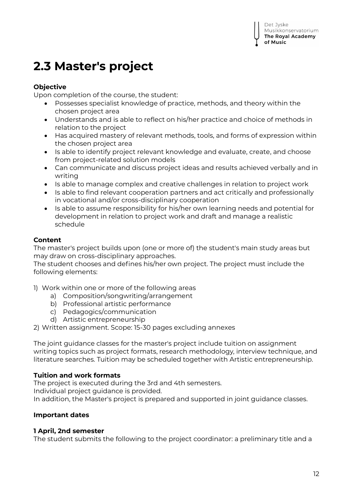### **2.3 Master's project**

### **Objective**

Upon completion of the course, the student:

- Possesses specialist knowledge of practice, methods, and theory within the chosen project area
- Understands and is able to reflect on his/her practice and choice of methods in relation to the project
- Has acquired mastery of relevant methods, tools, and forms of expression within the chosen project area
- Is able to identify project relevant knowledge and evaluate, create, and choose from project-related solution models
- Can communicate and discuss project ideas and results achieved verbally and in writing
- Is able to manage complex and creative challenges in relation to project work
- Is able to find relevant cooperation partners and act critically and professionally in vocational and/or cross-disciplinary cooperation
- Is able to assume responsibility for his/her own learning needs and potential for development in relation to project work and draft and manage a realistic schedule

### **Content**

The master's project builds upon (one or more of) the student's main study areas but may draw on cross-disciplinary approaches.

The student chooses and defines his/her own project. The project must include the following elements:

1) Work within one or more of the following areas

- a) Composition/songwriting/arrangement
- b) Professional artistic performance
- c) Pedagogics/communication
- d) Artistic entrepreneurship

2) Written assignment. Scope: 15-30 pages excluding annexes

The joint guidance classes for the master's project include tuition on assignment writing topics such as project formats, research methodology, interview technique, and literature searches. Tuition may be scheduled together with Artistic entrepreneurship.

### **Tuition and work formats**

The project is executed during the 3rd and 4th semesters. Individual project guidance is provided. In addition, the Master's project is prepared and supported in joint guidance classes.

### **Important dates**

### **1 April, 2nd semester**

The student submits the following to the project coordinator: a preliminary title and a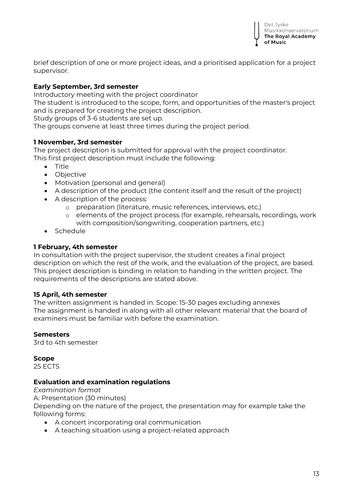

brief description of one or more project ideas, and a prioritised application for a project supervisor.

### **Early September, 3rd semester**

Introductory meeting with the project coordinator

The student is introduced to the scope, form, and opportunities of the master's project and is prepared for creating the project description.

Study groups of 3-6 students are set up.

The groups convene at least three times during the project period.

### **1 November, 3rd semester**

The project description is submitted for approval with the project coordinator. This first project description must include the following:

- Title
- Objective
- Motivation (personal and general)
- A description of the product (the content itself and the result of the project)
- A description of the process:
	- o preparation (literature, music references, interviews, etc.)
	- o elements of the project process (for example, rehearsals, recordings, work with composition/songwriting, cooperation partners, etc.)
- Schedule

### **1 February, 4th semester**

In consultation with the project supervisor, the student creates a final project description on which the rest of the work, and the evaluation of the project, are based. This project description is binding in relation to handing in the written project. The requirements of the descriptions are stated above.

### **15 April, 4th semester**

The written assignment is handed in. Scope: 15-30 pages excluding annexes The assignment is handed in along with all other relevant material that the board of examiners must be familiar with before the examination.

### **Semesters**

3rd to 4th semester

#### **Scope**

25 ECTS

### **Evaluation and examination regulations**

*Examination format*  A: Presentation (30 minutes) Depending on the nature of the project, the presentation may for example take the following forms:

- A concert incorporating oral communication
- A teaching situation using a project-related approach